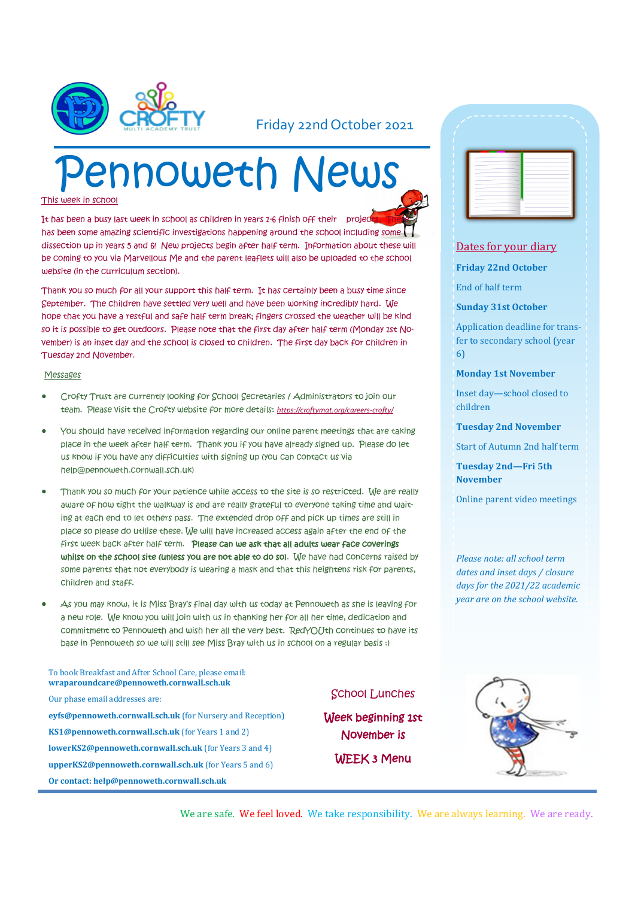

### Friday 22nd October 2021

# Pennoweth News

This week in school

It has been a busy last week in school as children in years 1-6 finish off their project has been some amazing scientific investigations happening around the school including some dissection up in years 5 and 6! New projects begin after half term. Information about these will be coming to you via Marvellous Me and the parent leaflets will also be uploaded to the school website (in the curriculum section).

Thank you so much for all your support this half term. It has certainly been a busy time since September. The children have settled very well and have been working incredibly hard. We hope that you have a restful and safe half term break; fingers crossed the weather will be kind so it is possible to get outdoors. Please note that the first day after half term (Monday 1st November) is an inset day and the school is closed to children. The first day back for children in Tuesday 2nd November.

#### Messages

- Crofty Trust are currently looking for School Secretaries / Administrators to join our team. Please visit the Crofty website for more details: *[https://croftymat.org/careers](https://croftymat.org/careers-crofty/)-crofty/*
- You should have received information regarding our online parent meetings that are taking place in the week after half term. Thank you if you have already signed up. Please do let us know if you have any difficulties with signing up (you can contact us via help@pennoweth.cornwall.sch.uk)
- Thank you so much for your patience while access to the site is so restricted. We are really aware of how tight the walkway is and are really grateful to everyone taking time and waiting at each end to let others pass. The extended drop off and pick up times are still in place so please do utilise these. We will have increased access again after the end of the first week back after half term. Please can we ask that all adults wear face coverings whilst on the school site (unless you are not able to do so). We have had concerns raised by some parents that not everybody is wearing a mask and that this heightens risk for parents, children and staff.
- As you may know, it is Miss Bray's final day with us today at Pennoweth as she is leaving for a new role. We know you will join with us in thanking her for all her time, dedication and commitment to Pennoweth and wish her all the very best. RedYOUth continues to have its base in Pennoweth so we will still see Miss Bray with us in school on a regular basis :)

#### To book Breakfast and After School Care, please email: **wraparoundcare@pennoweth.cornwall.sch.uk**

Our phase email addresses are: **eyfs@pennoweth.cornwall.sch.uk** (for Nursery and Reception) **KS1@pennoweth.cornwall.sch.uk** (for Years 1 and 2) **lowerKS2@pennoweth.cornwall.sch.uk** (for Years 3 and 4) **upperKS2@pennoweth.cornwall.sch.uk** (for Years 5 and 6) **Or contact: help@pennoweth.cornwall.sch.uk**

#### School Lunches

Week beginning 1st November is WEEK 3 Menu



#### Dates for your diary

**Friday 22nd October**

End of half term

**Sunday 31st October**

Application deadline for transfer to secondary school (year 6)

**Monday 1st November**

Inset day—school closed to children

**Tuesday 2nd November**

Start of Autumn 2nd half term

**Tuesday 2nd—Fri 5th November**

Online parent video meetings

*Please note: all school term dates and inset days / closure days for the 2021/22 academic year are on the school website.* 



We are safe. We feel loved. We take responsibility. We are always learning. We are ready.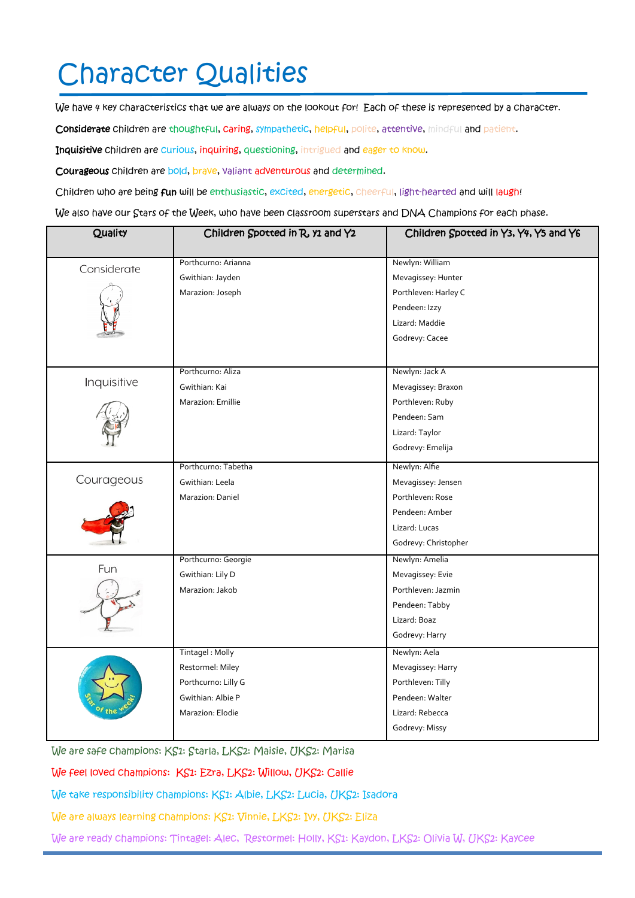# Character Qualities

We have 4 key characteristics that we are always on the lookout for! Each of these is represented by a character.

Considerate children are thoughtful, caring, sympathetic, helpful, polite, attentive, mindful and patient.

Inquisitive children are curious, inquiring, questioning, intrigued and eager to know.

Courageous children are bold, brave, valiant adventurous and determined.

Children who are being fun will be enthusiastic, excited, energetic, cheerful, light-hearted and will laugh!

We also have our Stars of the Week, who have been classroom superstars and DNA Champions for each phase.

| Quality     | Children Spotted in R, y1 and Y2 | Children Spotted in Y3, Y4, Y5 and Y6 |
|-------------|----------------------------------|---------------------------------------|
|             |                                  | Newlyn: William                       |
| Considerate | Porthcurno: Arianna              |                                       |
|             | Gwithian: Jayden                 | Mevagissey: Hunter                    |
|             | Marazion: Joseph                 | Porthleven: Harley C                  |
|             |                                  | Pendeen: Izzy                         |
|             |                                  | Lizard: Maddie                        |
|             |                                  | Godrevy: Cacee                        |
|             |                                  |                                       |
| Inquisitive | Porthcurno: Aliza                | Newlyn: Jack A                        |
|             | Gwithian: Kai                    | Mevagissey: Braxon                    |
|             | Marazion: Emillie                | Porthleven: Ruby                      |
|             |                                  | Pendeen: Sam                          |
|             |                                  | Lizard: Taylor                        |
|             |                                  | Godrevy: Emelija                      |
| Courageous  | Porthcurno: Tabetha              | Newlyn: Alfie                         |
|             | Gwithian: Leela                  | Mevagissey: Jensen                    |
|             | Marazion: Daniel                 | Porthleven: Rose                      |
|             |                                  | Pendeen: Amber                        |
|             |                                  | Lizard: Lucas                         |
|             |                                  | Godrevy: Christopher                  |
| Fun         | Porthcurno: Georgie              | Newlyn: Amelia                        |
|             | Gwithian: Lily D                 | Mevagissey: Evie                      |
|             | Marazion: Jakob                  | Porthleven: Jazmin                    |
|             |                                  | Pendeen: Tabby                        |
|             |                                  | Lizard: Boaz                          |
|             |                                  | Godrevy: Harry                        |
|             | Tintagel: Molly                  | Newlyn: Aela                          |
|             | Restormel: Miley                 | Mevagissey: Harry                     |
|             | Porthcurno: Lilly G              | Porthleven: Tilly                     |
|             | Gwithian: Albie P                | Pendeen: Walter                       |
|             | Marazion: Elodie                 | Lizard: Rebecca                       |
|             |                                  | Godrevy: Missy                        |

We are safe champions: KS1: Starla, LKS2: Maisie, UKS2: Marisa

We feel loved champions: KS1: Ezra, LKS2: Willow, UKS2: Callie

We take responsibility champions: KS1: Albie, LKS2: Lucia, UKS2: Isadora

We are always learning champions: KS1: Vinnie, LKS2: Ivy, UKS2: Eliza

We are ready champions: Tintagel: Alec, Restormel: Holly, KS1: Kaydon, LKS2: Olivia W, UKS2: Kaycee